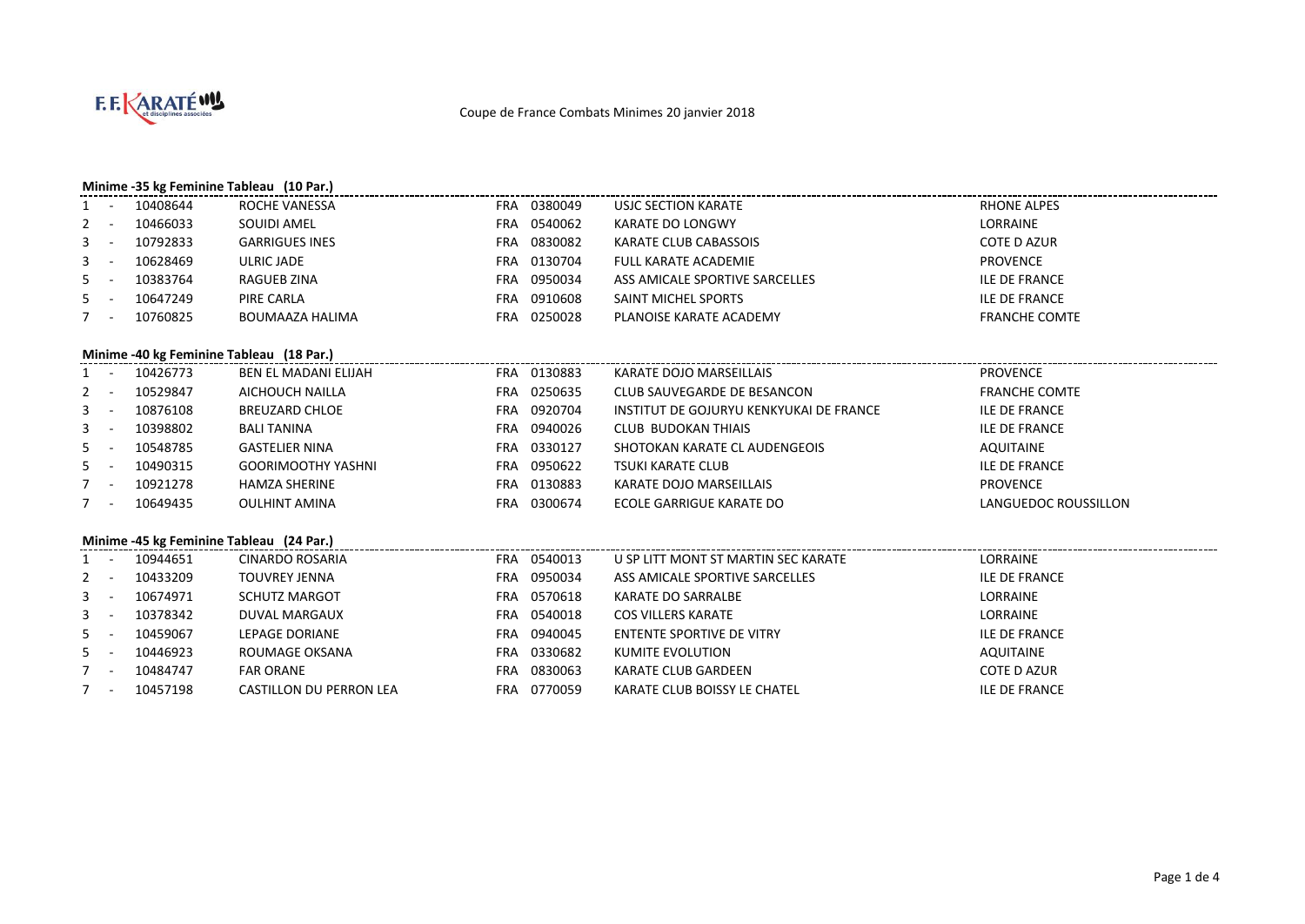

### **Minime -35 kg Feminine Tableau (10 Par.)**

|         | (IVInime -35 kg Feminine Tableau) (IV Par.) |                |                       |            |                |                                |                      |  |  |  |  |
|---------|---------------------------------------------|----------------|-----------------------|------------|----------------|--------------------------------|----------------------|--|--|--|--|
|         |                                             | 10408644       | ROCHE VANESSA         | <b>FRA</b> | 0380049        | USJC SECTION KARATE            | RHONE ALPES          |  |  |  |  |
| $2 -$   |                                             | 10466033       | SOUIDI AMEL           | <b>FRA</b> | 0540062        | KARATE DO LONGWY               | LORRAINE             |  |  |  |  |
| $3 - 1$ |                                             | 10792833       | <b>GARRIGUES INES</b> | FRA        | 0830082        | KARATE CLUB CABASSOIS          | <b>COTE D AZUR</b>   |  |  |  |  |
| $3 - -$ |                                             | 10628469       | ULRIC JADE            | <b>FRA</b> | 0130704        | FULL KARATE ACADEMIE           | <b>PROVENCE</b>      |  |  |  |  |
| $5 -$   |                                             | 10383764       | RAGUEB ZINA           | <b>FRA</b> | 0950034        | ASS AMICALE SPORTIVE SARCELLES | <b>ILE DE FRANCE</b> |  |  |  |  |
| $5 -$   |                                             | 10647249       | PIRE CARLA            | FRA        | 0910608        | SAINT MICHEL SPORTS            | <b>ILE DE FRANCE</b> |  |  |  |  |
|         |                                             | 10760825       | BOUMAAZA HALIMA       | <b>FRA</b> | 0250028        | PLANOISE KARATE ACADEMY        | <b>FRANCHE COMTE</b> |  |  |  |  |
|         | Minime -40 kg Feminine Tableau (18 Par.)    |                |                       |            |                |                                |                      |  |  |  |  |
|         |                                             | $1 - 10126772$ | REN EL MADANI ELIJAH  | <b>ERA</b> | <b>UJJU883</b> | KARATE DOIO MARSEILLAIS        | <b>DROVENCE</b>      |  |  |  |  |

|         | 10426773 | BEN EL MADANI ELIJAH      | <b>FRA</b> | 0130883 | KARATE DOJO MARSEILLAIS                 | <b>PROVENCE</b>      |
|---------|----------|---------------------------|------------|---------|-----------------------------------------|----------------------|
|         | 10529847 | AICHOUCH NAILLA           | FRA        | 0250635 | CLUB SAUVEGARDE DE BESANCON             | <b>FRANCHE COMTE</b> |
| $3 - 1$ | 10876108 | <b>BREUZARD CHLOE</b>     | FRA        | 0920704 | INSTITUT DE GOJURYU KENKYUKAI DE FRANCE | <b>ILE DE FRANCE</b> |
| $3 - 5$ | 10398802 | BALI TANINA               | FRA        | 0940026 | CLUB BUDOKAN THIAIS                     | <b>ILE DE FRANCE</b> |
| $5 - 5$ | 10548785 | <b>GASTELIER NINA</b>     | FRA        | 0330127 | SHOTOKAN KARATE CL AUDENGEOIS           | AQUITAINE            |
| $5 - 5$ | 10490315 | <b>GOORIMOOTHY YASHNI</b> | FRA        | 0950622 | TSUKI KARATE CLUB                       | <b>ILE DE FRANCE</b> |
|         | 10921278 | <b>HAMZA SHERINE</b>      | FRA        | 0130883 | KARATE DOJO MARSEILLAIS                 | <b>PROVENCE</b>      |
|         | 10649435 | <b>OULHINT AMINA</b>      | <b>FRA</b> | 0300674 | ECOLE GARRIGUE KARATE DO                | LANGUEDOC ROUSSILLON |
|         |          |                           |            |         |                                         |                      |

### **Minime -45 kg Feminine Tableau (24 Par.)**

|         |  | 10944651 | CINARDO ROSARIA                | <b>FRA</b> | 0540013 | U SP LITT MONT ST MARTIN SEC KARATE | LORRAINE             |  |  |  |
|---------|--|----------|--------------------------------|------------|---------|-------------------------------------|----------------------|--|--|--|
| $2 -$   |  | 10433209 | <b>TOUVREY JENNA</b>           | FRA        | 0950034 | ASS AMICALE SPORTIVE SARCELLES      | <b>ILE DE FRANCE</b> |  |  |  |
| $3 - 1$ |  | 10674971 | <b>SCHUTZ MARGOT</b>           | <b>FRA</b> | 0570618 | KARATE DO SARRALBE                  | LORRAINE             |  |  |  |
| $3 - 1$ |  | 10378342 | DUVAL MARGAUX                  | <b>FRA</b> | 0540018 | COS VILLERS KARATE                  | LORRAINE             |  |  |  |
| $5 -$   |  | 10459067 | LEPAGE DORIANE                 | FRA        | 0940045 | ENTENTE SPORTIVE DE VITRY           | <b>ILE DE FRANCE</b> |  |  |  |
| $5 -$   |  | 10446923 | ROUMAGE OKSANA                 | FRA        | 0330682 | KUMITE EVOLUTION                    | AQUITAINE            |  |  |  |
|         |  | 10484747 | <b>FAR ORANE</b>               | FRA        | 0830063 | KARATE CLUB GARDEEN                 | COTE D AZUR          |  |  |  |
|         |  | 10457198 | <b>CASTILLON DU PERRON LEA</b> | <b>FRA</b> | 0770059 | KARATE CLUB BOISSY LE CHATEL        | <b>ILE DE FRANCE</b> |  |  |  |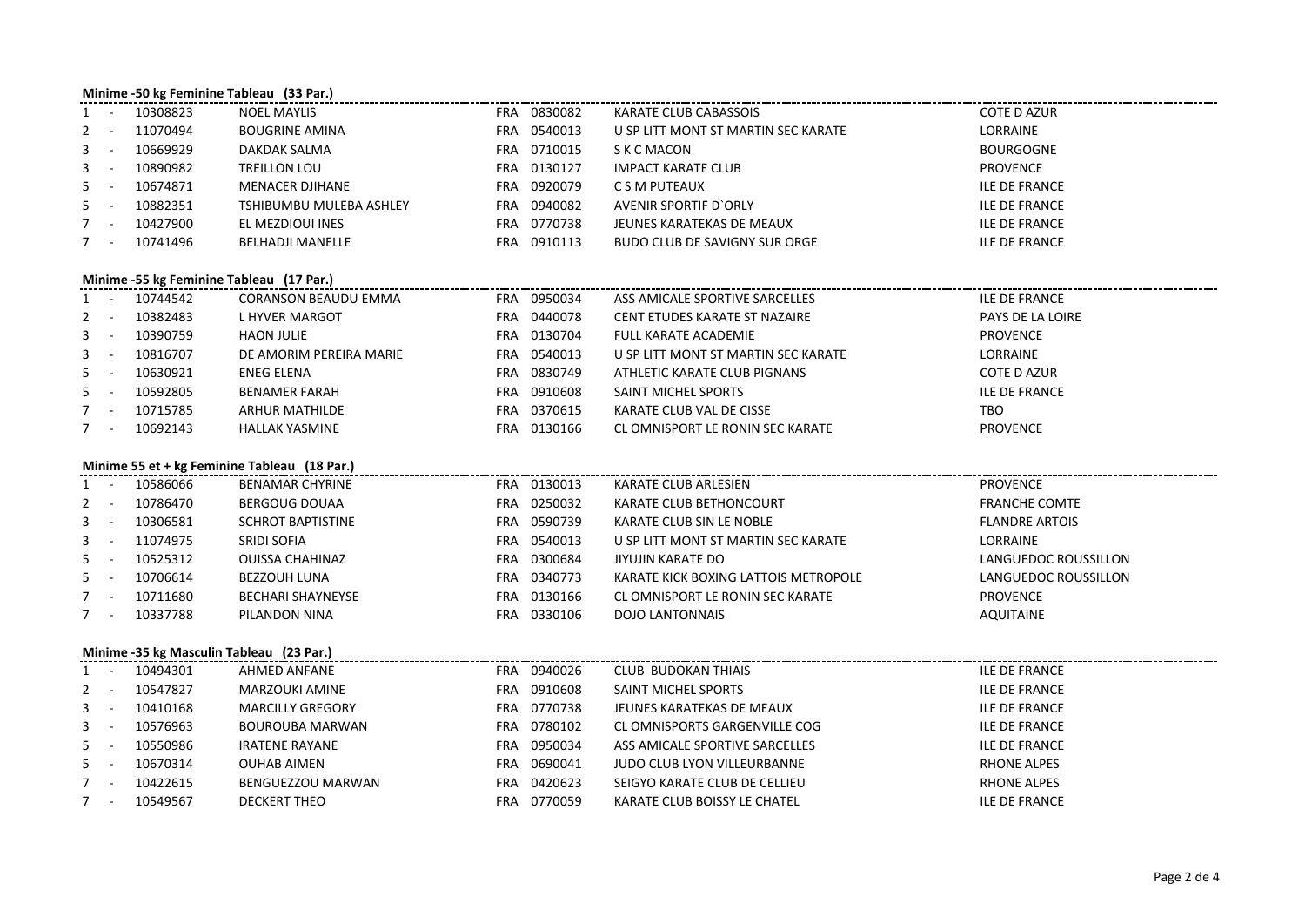|                           | Minime -50 kg Feminine Tableau (33 Par.) |                                              |             |                                      |                       |  |  |  |  |  |  |  |
|---------------------------|------------------------------------------|----------------------------------------------|-------------|--------------------------------------|-----------------------|--|--|--|--|--|--|--|
| $\sim$                    | 10308823                                 | <b>NOEL MAYLIS</b>                           | FRA 0830082 | KARATE CLUB CABASSOIS                | <b>COTE D AZUR</b>    |  |  |  |  |  |  |  |
| $\sim$<br>2               | 11070494                                 | <b>BOUGRINE AMINA</b>                        | FRA 0540013 | U SP LITT MONT ST MARTIN SEC KARATE  | LORRAINE              |  |  |  |  |  |  |  |
| 3<br>$\sim$               | 10669929                                 | DAKDAK SALMA                                 | FRA 0710015 | S K C MACON                          | <b>BOURGOGNE</b>      |  |  |  |  |  |  |  |
| 3<br>$\sim$               | 10890982                                 | <b>TREILLON LOU</b>                          | FRA 0130127 | <b>IMPACT KARATE CLUB</b>            | <b>PROVENCE</b>       |  |  |  |  |  |  |  |
| 5<br>$\sim$               | 10674871                                 | MENACER DJIHANE                              | FRA 0920079 | C S M PUTEAUX                        | <b>ILE DE FRANCE</b>  |  |  |  |  |  |  |  |
| 5<br>$\sim$               | 10882351                                 | TSHIBUMBU MULEBA ASHLEY                      | FRA 0940082 | AVENIR SPORTIF D'ORLY                | ILE DE FRANCE         |  |  |  |  |  |  |  |
| 7<br>$\sim$               | 10427900                                 | EL MEZDIOUI INES                             | FRA 0770738 | JEUNES KARATEKAS DE MEAUX            | ILE DE FRANCE         |  |  |  |  |  |  |  |
| $7^{\circ}$<br>$\sim$ $-$ | 10741496                                 | <b>BELHADJI MANELLE</b>                      | FRA 0910113 | <b>BUDO CLUB DE SAVIGNY SUR ORGE</b> | ILE DE FRANCE         |  |  |  |  |  |  |  |
|                           | Minime -55 kg Feminine Tableau (17 Par.) |                                              |             |                                      |                       |  |  |  |  |  |  |  |
|                           | 1 - 10744542                             | <b>CORANSON BEAUDU EMMA</b>                  | FRA 0950034 | ASS AMICALE SPORTIVE SARCELLES       | <b>ILE DE FRANCE</b>  |  |  |  |  |  |  |  |
| $\sim$ $-$<br>2           | 10382483                                 | L HYVER MARGOT                               | FRA 0440078 | CENT ETUDES KARATE ST NAZAIRE        | PAYS DE LA LOIRE      |  |  |  |  |  |  |  |
| 3<br>$\sim$               | 10390759                                 | <b>HAON JULIE</b>                            | FRA 0130704 | <b>FULL KARATE ACADEMIE</b>          | <b>PROVENCE</b>       |  |  |  |  |  |  |  |
| $\sim$ $-$<br>3           | 10816707                                 | DE AMORIM PEREIRA MARIE                      | FRA 0540013 | U SP LITT MONT ST MARTIN SEC KARATE  | LORRAINE              |  |  |  |  |  |  |  |
| 5<br>$\sim$ $-$           | 10630921                                 | ENEG ELENA                                   | FRA 0830749 | ATHLETIC KARATE CLUB PIGNANS         | COTE D AZUR           |  |  |  |  |  |  |  |
| 5<br>$\sim$ $-$           | 10592805                                 | <b>BENAMER FARAH</b>                         | FRA 0910608 | SAINT MICHEL SPORTS                  | <b>ILE DE FRANCE</b>  |  |  |  |  |  |  |  |
| $\sim$ $-$<br>7           | 10715785                                 | <b>ARHUR MATHILDE</b>                        | FRA 0370615 | KARATE CLUB VAL DE CISSE             | TBO                   |  |  |  |  |  |  |  |
| $7 -$                     | 10692143                                 | <b>HALLAK YASMINE</b>                        | FRA 0130166 | CL OMNISPORT LE RONIN SEC KARATE     | <b>PROVENCE</b>       |  |  |  |  |  |  |  |
|                           |                                          | Minime 55 et + kg Feminine Tableau (18 Par.) |             |                                      |                       |  |  |  |  |  |  |  |
|                           | 1 - 10586066                             | <b>BENAMAR CHYRINE</b>                       | FRA 0130013 | KARATE CLUB ARLESIEN                 | <b>PROVENCE</b>       |  |  |  |  |  |  |  |
| 2<br>$\sim$ $-$           | 10786470                                 | <b>BERGOUG DOUAA</b>                         | FRA 0250032 | KARATE CLUB BETHONCOURT              | <b>FRANCHE COMTE</b>  |  |  |  |  |  |  |  |
| 3<br>$\sim$               | 10306581                                 | <b>SCHROT BAPTISTINE</b>                     | FRA 0590739 | KARATE CLUB SIN LE NOBLE             | <b>FLANDRE ARTOIS</b> |  |  |  |  |  |  |  |
| 3<br>$\sim$               | 11074975                                 | <b>SRIDI SOFIA</b>                           | FRA 0540013 | U SP LITT MONT ST MARTIN SEC KARATE  | LORRAINE              |  |  |  |  |  |  |  |
| 5<br>$\sim$               | 10525312                                 | <b>OUISSA CHAHINAZ</b>                       | FRA 0300684 | JIYUJIN KARATE DO                    | LANGUEDOC ROUSSILLON  |  |  |  |  |  |  |  |
| 5<br>$\sim$               | 10706614                                 | <b>BEZZOUH LUNA</b>                          | FRA 0340773 | KARATE KICK BOXING LATTOIS METROPOLE | LANGUEDOC ROUSSILLON  |  |  |  |  |  |  |  |
| $\sim$<br>7               | 10711680                                 | <b>BECHARI SHAYNEYSE</b>                     | FRA 0130166 | CL OMNISPORT LE RONIN SEC KARATE     | <b>PROVENCE</b>       |  |  |  |  |  |  |  |
| $7 -$                     | 10337788                                 | PILANDON NINA                                | FRA 0330106 | <b>DOJO LANTONNAIS</b>               | AQUITAINE             |  |  |  |  |  |  |  |
|                           |                                          | Minime -35 kg Masculin Tableau (23 Par.)     |             |                                      |                       |  |  |  |  |  |  |  |
| $1 -$                     | 10494301                                 | AHMED ANFANE                                 | FRA 0940026 | <b>CLUB BUDOKAN THIAIS</b>           | <b>ILE DE FRANCE</b>  |  |  |  |  |  |  |  |
| $\sim$ $-$<br>2           | 10547827                                 | MARZOUKI AMINE                               | FRA 0910608 | SAINT MICHEL SPORTS                  | <b>ILE DE FRANCE</b>  |  |  |  |  |  |  |  |
| 3<br>$\sim$               | 10410168                                 | <b>MARCILLY GREGORY</b>                      | FRA 0770738 | JEUNES KARATEKAS DE MEAUX            | ILE DE FRANCE         |  |  |  |  |  |  |  |
| 3<br>$\sim$               | 10576963                                 | <b>BOUROUBA MARWAN</b>                       | FRA 0780102 | CL OMNISPORTS GARGENVILLE COG        | <b>ILE DE FRANCE</b>  |  |  |  |  |  |  |  |
| 5<br>$\sim$               | 10550986                                 | <b>IRATENE RAYANE</b>                        | FRA 0950034 | ASS AMICALE SPORTIVE SARCELLES       | ILE DE FRANCE         |  |  |  |  |  |  |  |
| 5<br>$\sim$               | 10670314                                 | <b>OUHAB AIMEN</b>                           | FRA 0690041 | JUDO CLUB LYON VILLEURBANNE          | RHONE ALPES           |  |  |  |  |  |  |  |
| $\sim$<br>$7^{\circ}$     | 10422615                                 | BENGUEZZOU MARWAN                            | FRA 0420623 | SEIGYO KARATE CLUB DE CELLIEU        | RHONE ALPES           |  |  |  |  |  |  |  |
| $7 -$                     | 10549567                                 | <b>DECKERT THEO</b>                          | FRA 0770059 | KARATE CLUB BOISSY LE CHATEL         | <b>ILE DE FRANCE</b>  |  |  |  |  |  |  |  |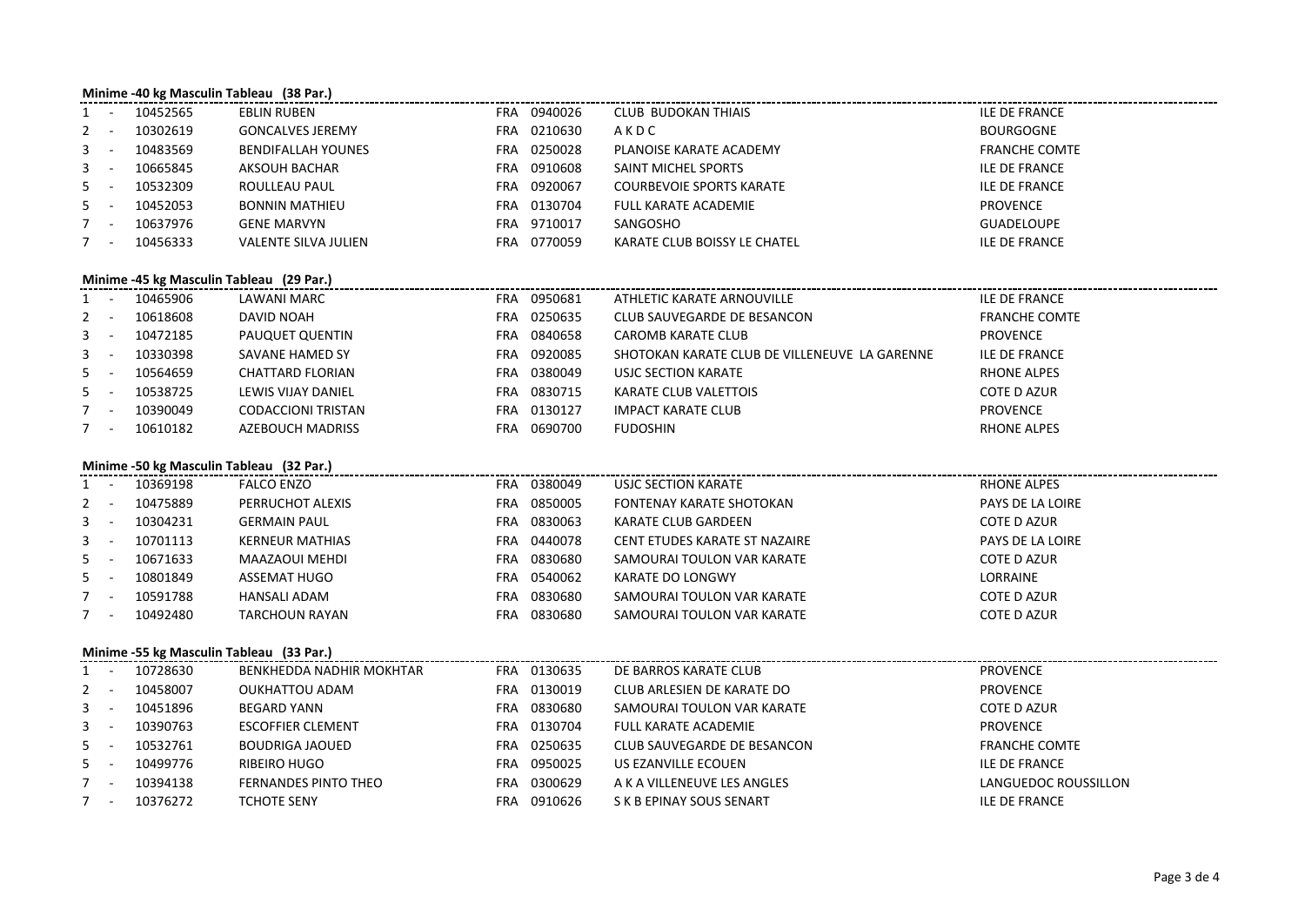# **Minime -40 kg Masculin Tableau (38 Par.)**

| $1 -$   | 10452565 | <b>EBLIN RUBEN</b>          | <b>FRA</b> | 0940026 | CLUB BUDOKAN THIAIS             | <b>ILE DE FRANCE</b> |
|---------|----------|-----------------------------|------------|---------|---------------------------------|----------------------|
| $2 -$   | 10302619 | <b>GONCALVES JEREMY</b>     | FRA        | 0210630 | AKDC                            | <b>BOURGOGNE</b>     |
| $3 - -$ | 10483569 | BENDIFALLAH YOUNES          | FRA        | 0250028 | PLANOISE KARATE ACADEMY         | <b>FRANCHE COMTE</b> |
| $3 - -$ | 10665845 | AKSOUH BACHAR               | FRA        | 0910608 | SAINT MICHEL SPORTS             | <b>ILE DE FRANCE</b> |
| $5 -$   | 10532309 | ROULLEAU PAUL               | FRA        | 0920067 | <b>COURBEVOIE SPORTS KARATE</b> | <b>ILE DE FRANCE</b> |
| $5 -$   | 10452053 | <b>BONNIN MATHIEU</b>       | FRA        | 0130704 | FULL KARATE ACADEMIE            | PROVENCE             |
| $7 -$   | 10637976 | <b>GENE MARVYN</b>          | FRA        | 9710017 | SANGOSHO                        | GUADELOUPE           |
|         | 10456333 | <b>VALENTE SILVA JULIEN</b> | FRA        | 0770059 | KARATE CLUB BOISSY LE CHATEL    | <b>ILE DE FRANCE</b> |

### **Minime -45 kg Masculin Tableau (29 Par.)**

| $1 -$ | 10465906 | LAWANI MARC               | <b>FRA</b> | 0950681 | ATHLETIC KARATE ARNOUVILLE                    | ILE DE FRANCE        |
|-------|----------|---------------------------|------------|---------|-----------------------------------------------|----------------------|
| $2 -$ | 10618608 | DAVID NOAH                | <b>FRA</b> | 0250635 | CLUB SAUVEGARDE DE BESANCON                   | <b>FRANCHE COMTE</b> |
| $3 -$ | 10472185 | PAUQUET QUENTIN           | FRA        | 0840658 | <b>CAROMB KARATE CLUB</b>                     | <b>PROVENCE</b>      |
| $3 -$ | 10330398 | SAVANE HAMED SY           | <b>FRA</b> | 0920085 | SHOTOKAN KARATE CLUB DE VILLENEUVE LA GARENNE | <b>ILE DE FRANCE</b> |
| $5 -$ | 10564659 | CHATTARD FLORIAN          | <b>FRA</b> | 0380049 | USJC SECTION KARATE                           | <b>RHONE ALPES</b>   |
| $5 -$ | 10538725 | LEWIS VIJAY DANIEL        | <b>FRA</b> | 0830715 | KARATE CLUB VALETTOIS                         | <b>COTE D AZUR</b>   |
|       | 10390049 | <b>CODACCIONI TRISTAN</b> | <b>FRA</b> | 0130127 | IMPACT KARATE CLUB                            | <b>PROVENCE</b>      |
| $7 -$ | 10610182 | AZEBOUCH MADRISS          | <b>FRA</b> | 0690700 | <b>FUDOSHIN</b>                               | <b>RHONE ALPES</b>   |

### **Minime -50 kg Masculin Tableau (32 Par.)**

|       |  | 10369198 | FALCO ENZO             | <b>FRA</b> | 0380049 | USJC SECTION KARATE           | RHONE ALPES        |  |  |  |
|-------|--|----------|------------------------|------------|---------|-------------------------------|--------------------|--|--|--|
|       |  | 10475889 | PERRUCHOT ALEXIS       | FRA        | 0850005 | FONTENAY KARATE SHOTOKAN      | PAYS DE LA LOIRE   |  |  |  |
| $3 -$ |  | 10304231 | <b>GERMAIN PAUL</b>    | <b>FRA</b> | 0830063 | KARATE CLUB GARDEEN           | <b>COTE D AZUR</b> |  |  |  |
| $3 -$ |  | 10701113 | <b>KERNEUR MATHIAS</b> | FRA        | 0440078 | CENT ETUDES KARATE ST NAZAIRE | PAYS DE LA LOIRE   |  |  |  |
| $5 -$ |  | 10671633 | MAAZAOUI MEHDI         | FRA        | 0830680 | SAMOURAI TOULON VAR KARATE    | <b>COTE D AZUR</b> |  |  |  |
| $5 -$ |  | 10801849 | ASSEMAT HUGO           | <b>FRA</b> | 0540062 | KARATE DO LONGWY              | LORRAINE           |  |  |  |
|       |  | 10591788 | HANSALI ADAM           | FRA        | 0830680 | SAMOURAI TOULON VAR KARATE    | <b>COTE D AZUR</b> |  |  |  |
|       |  | 10492480 | TARCHOUN RAYAN         | FRA        | 0830680 | SAMOURAI TOULON VAR KARATE    | <b>COTE D AZUR</b> |  |  |  |
|       |  |          |                        |            |         |                               |                    |  |  |  |

## **Minime -55 kg Masculin Tableau (33 Par.)**

| $1 -$ | 10728630 | BENKHEDDA NADHIR MOKHTAR | <b>FRA</b> | 0130635 | DE BARROS KARATE CLUB       | <b>PROVENCE</b>      |
|-------|----------|--------------------------|------------|---------|-----------------------------|----------------------|
| $2 -$ | 10458007 | OUKHATTOU ADAM           | <b>FRA</b> | 0130019 | CLUB ARLESIEN DE KARATE DO  | <b>PROVENCE</b>      |
| $3 -$ | 10451896 | BEGARD YANN              | <b>FRA</b> | 0830680 | SAMOURAI TOULON VAR KARATE  | <b>COTE D AZUR</b>   |
| $3 -$ | 10390763 | <b>ESCOFFIER CLEMENT</b> | <b>FRA</b> | 0130704 | FULL KARATE ACADEMIE        | PROVENCE             |
| $5 -$ | 10532761 | BOUDRIGA JAOUED          | FRA        | 0250635 | CLUB SAUVEGARDE DE BESANCON | <b>FRANCHE COMTE</b> |
| $5 -$ | 10499776 | RIBEIRO HUGO             | FRA        | 0950025 | US EZANVILLE ECOUEN         | ILE DE FRANCE        |
| $7 -$ | 10394138 | FERNANDES PINTO THEO     | FRA        | 0300629 | A K A VILLENEUVE LES ANGLES | LANGUEDOC ROUSSILLON |
| $7 -$ | 10376272 | <b>TCHOTE SENY</b>       | FRA        | 0910626 | S K B EPINAY SOUS SENART    | ILE DE FRANCE        |